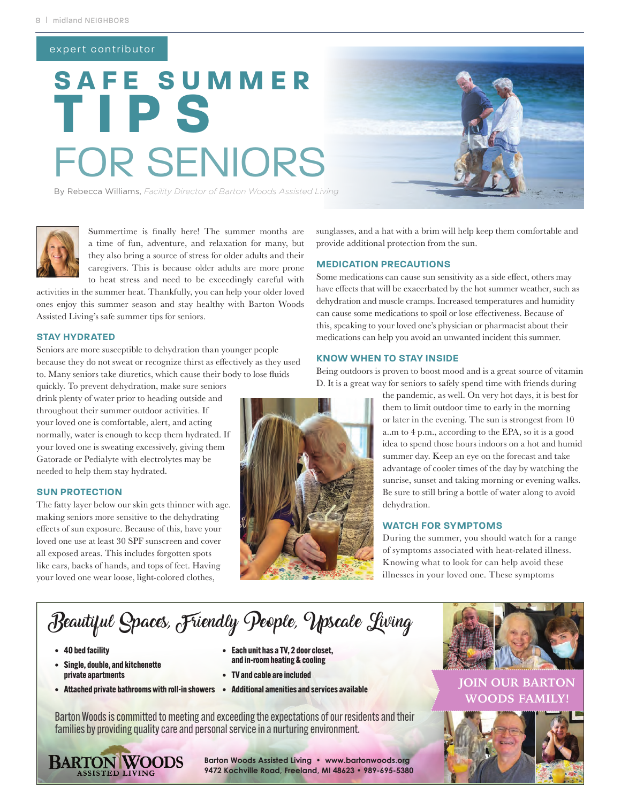# expert contributor

# **SAFE SUMMER** FOR SENIORS **TIPS**



By Rebecca Williams, *Facility Director of Barton Woods Assisted Living*



Summertime is finally here! The summer months are a time of fun, adventure, and relaxation for many, but they also bring a source of stress for older adults and their caregivers. This is because older adults are more prone to heat stress and need to be exceedingly careful with

activities in the summer heat. Thankfully, you can help your older loved ones enjoy this summer season and stay healthy with Barton Woods Assisted Living's safe summer tips for seniors.

## **STAY HYDRATED**

Seniors are more susceptible to dehydration than younger people because they do not sweat or recognize thirst as effectively as they used to. Many seniors take diuretics, which cause their body to lose fluids

quickly. To prevent dehydration, make sure seniors drink plenty of water prior to heading outside and throughout their summer outdoor activities. If your loved one is comfortable, alert, and acting normally, water is enough to keep them hydrated. If your loved one is sweating excessively, giving them Gatorade or Pedialyte with electrolytes may be needed to help them stay hydrated.

## **SUN PROTECTION**

The fatty layer below our skin gets thinner with age. making seniors more sensitive to the dehydrating effects of sun exposure. Because of this, have your loved one use at least 30 SPF sunscreen and cover all exposed areas. This includes forgotten spots like ears, backs of hands, and tops of feet. Having your loved one wear loose, light-colored clothes,



sunglasses, and a hat with a brim will help keep them comfortable and provide additional protection from the sun.

#### **MEDICATION PRECAUTIONS**

Some medications can cause sun sensitivity as a side effect, others may have effects that will be exacerbated by the hot summer weather, such as dehydration and muscle cramps. Increased temperatures and humidity can cause some medications to spoil or lose effectiveness. Because of this, speaking to your loved one's physician or pharmacist about their medications can help you avoid an unwanted incident this summer.

#### **KNOW WHEN TO STAY INSIDE**

Being outdoors is proven to boost mood and is a great source of vitamin D. It is a great way for seniors to safely spend time with friends during

> the pandemic, as well. On very hot days, it is best for them to limit outdoor time to early in the morning or later in the evening. The sun is strongest from 10 a..m to 4 p.m., according to the EPA, so it is a good idea to spend those hours indoors on a hot and humid summer day. Keep an eye on the forecast and take advantage of cooler times of the day by watching the sunrise, sunset and taking morning or evening walks. Be sure to still bring a bottle of water along to avoid dehydration.

# **WATCH FOR SYMPTOMS**

During the summer, you should watch for a range of symptoms associated with heat-related illness. Knowing what to look for can help avoid these illnesses in your loved one. These symptoms

# Beautiful Spaces, Friendly People, Upscale Living

- **40 bed facility**
- **Single, double, and kitchenette private apartments**
- 
- **Each unit has a TV, 2 door closet, and in-room heating & cooling**
- **TV and cable are included**
- 

Barton Woods is committed to meeting and exceeding the expectations of our residents and their families by providing quality care and personal service in a nurturing environment.



**Barton Woods Assisted Living • www.bartonwoods.org 9472 Kochville Road, Freeland, MI 48623 • 989-695-5380**



**• Attached private bathrooms with roll-in showers • Additional amenities and services available <b>JOIN OUR BARTON WOODS FAMILY!**